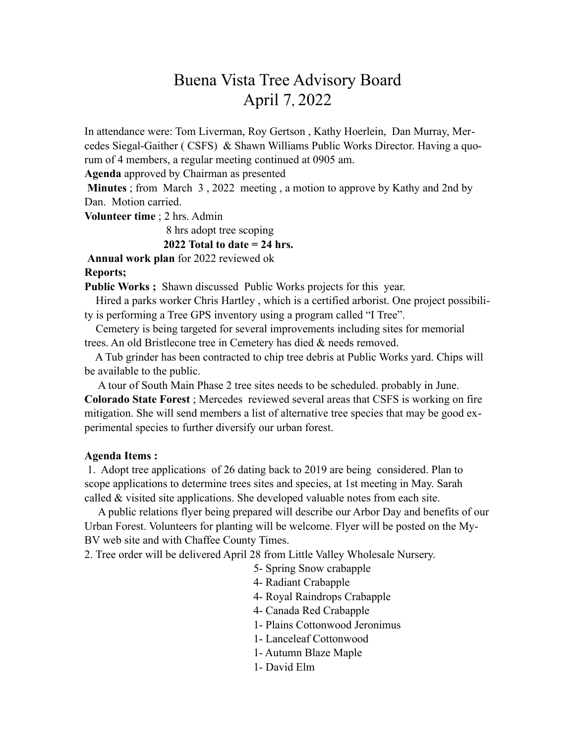## Buena Vista Tree Advisory Board April 7, 2022

In attendance were: Tom Liverman, Roy Gertson , Kathy Hoerlein, Dan Murray, Mercedes Siegal-Gaither ( CSFS) & Shawn Williams Public Works Director. Having a quorum of 4 members, a regular meeting continued at 0905 am.

**Agenda** approved by Chairman as presented

**Minutes** ; from March 3 , 2022 meeting , a motion to approve by Kathy and 2nd by Dan. Motion carried.

**Volunteer time** ; 2 hrs. Admin

 8 hrs adopt tree scoping **2022 Total to date = 24 hrs.** 

**Annual work plan** for 2022 reviewed ok **Reports;**

**Public Works ;** Shawn discussed Public Works projects for this year.

 Hired a parks worker Chris Hartley , which is a certified arborist. One project possibility is performing a Tree GPS inventory using a program called "I Tree".

 Cemetery is being targeted for several improvements including sites for memorial trees. An old Bristlecone tree in Cemetery has died & needs removed.

 A Tub grinder has been contracted to chip tree debris at Public Works yard. Chips will be available to the public.

 A tour of South Main Phase 2 tree sites needs to be scheduled. probably in June. **Colorado State Forest** ; Mercedes reviewed several areas that CSFS is working on fire mitigation. She will send members a list of alternative tree species that may be good experimental species to further diversify our urban forest.

## **Agenda Items :**

1. Adopt tree applications of 26 dating back to 2019 are being considered. Plan to scope applications to determine trees sites and species, at 1st meeting in May. Sarah called & visited site applications. She developed valuable notes from each site.

 A public relations flyer being prepared will describe our Arbor Day and benefits of our Urban Forest. Volunteers for planting will be welcome. Flyer will be posted on the My-BV web site and with Chaffee County Times.

2. Tree order will be delivered April 28 from Little Valley Wholesale Nursery.

5- Spring Snow crabapple

4- Radiant Crabapple

4- Royal Raindrops Crabapple

4- Canada Red Crabapple

1- Plains Cottonwood Jeronimus

- 1- Lanceleaf Cottonwood
- 1- Autumn Blaze Maple
- 1- David Elm